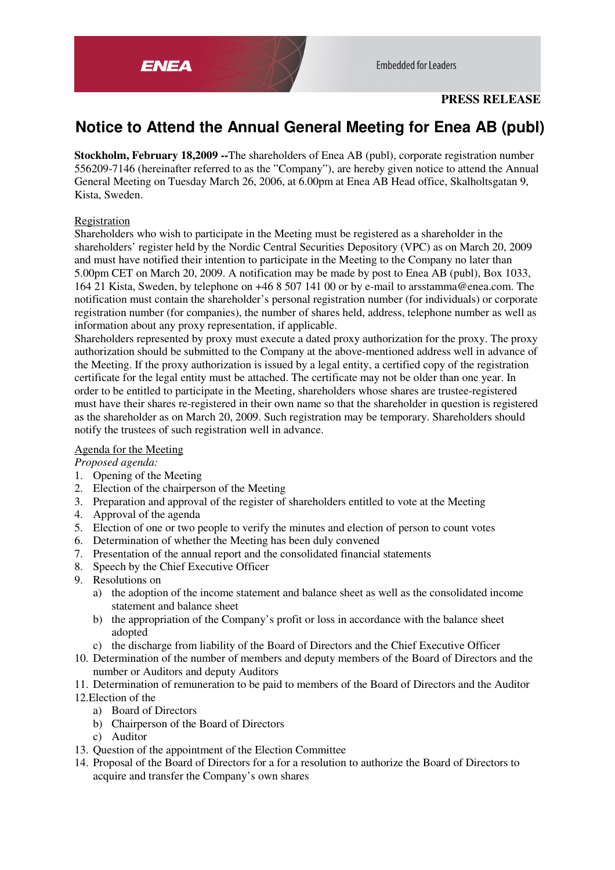

**Embedded for Leaders** 

# **PRESS RELEASE**

# **Notice to Attend the Annual General Meeting for Enea AB (publ)**

**Stockholm, February 18,2009 --**The shareholders of Enea AB (publ), corporate registration number 556209-7146 (hereinafter referred to as the "Company"), are hereby given notice to attend the Annual General Meeting on Tuesday March 26, 2006, at 6.00pm at Enea AB Head office, Skalholtsgatan 9, Kista, Sweden.

# Registration

Shareholders who wish to participate in the Meeting must be registered as a shareholder in the shareholders' register held by the Nordic Central Securities Depository (VPC) as on March 20, 2009 and must have notified their intention to participate in the Meeting to the Company no later than 5.00pm CET on March 20, 2009. A notification may be made by post to Enea AB (publ), Box 1033, 164 21 Kista, Sweden, by telephone on +46 8 507 141 00 or by e-mail to arsstamma@enea.com. The notification must contain the shareholder's personal registration number (for individuals) or corporate registration number (for companies), the number of shares held, address, telephone number as well as information about any proxy representation, if applicable.

Shareholders represented by proxy must execute a dated proxy authorization for the proxy. The proxy authorization should be submitted to the Company at the above-mentioned address well in advance of the Meeting. If the proxy authorization is issued by a legal entity, a certified copy of the registration certificate for the legal entity must be attached. The certificate may not be older than one year. In order to be entitled to participate in the Meeting, shareholders whose shares are trustee-registered must have their shares re-registered in their own name so that the shareholder in question is registered as the shareholder as on March 20, 2009. Such registration may be temporary. Shareholders should notify the trustees of such registration well in advance.

## Agenda for the Meeting

## *Proposed agenda:*

- 1. Opening of the Meeting
- 2. Election of the chairperson of the Meeting
- 3. Preparation and approval of the register of shareholders entitled to vote at the Meeting
- 4. Approval of the agenda
- 5. Election of one or two people to verify the minutes and election of person to count votes
- 6. Determination of whether the Meeting has been duly convened
- 7. Presentation of the annual report and the consolidated financial statements
- 8. Speech by the Chief Executive Officer
- 9. Resolutions on
	- a) the adoption of the income statement and balance sheet as well as the consolidated income statement and balance sheet
	- b) the appropriation of the Company's profit or loss in accordance with the balance sheet adopted
	- c) the discharge from liability of the Board of Directors and the Chief Executive Officer
- 10. Determination of the number of members and deputy members of the Board of Directors and the number or Auditors and deputy Auditors
- 11. Determination of remuneration to be paid to members of the Board of Directors and the Auditor 12.Election of the
	- a) Board of Directors
	- b) Chairperson of the Board of Directors
	- c) Auditor
- 13. Question of the appointment of the Election Committee
- 14. Proposal of the Board of Directors for a for a resolution to authorize the Board of Directors to acquire and transfer the Company's own shares